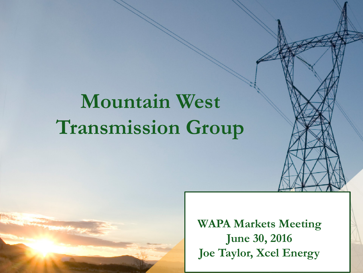# **Mountain West Transmission Group**

**WAPA Markets Meeting June 30, 2016 Joe Taylor, Xcel Energy**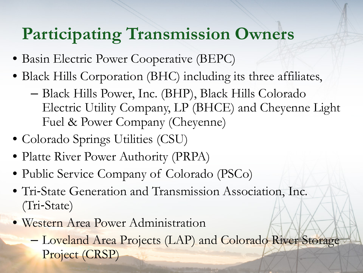#### **Participating Transmission Owners**

- Basin Electric Power Cooperative (BEPC)
- Black Hills Corporation (BHC) including its three affiliates,
	- Black Hills Power, Inc. (BHP), Black Hills Colorado Electric Utility Company, LP (BHCE) and Cheyenne Light Fuel & Power Company (Cheyenne)
- Colorado Springs Utilities (CSU)
- Platte River Power Authority (PRPA)
- Public Service Company of Colorado (PSCo)
- Tri‐State Generation and Transmission Association, Inc. (Tri‐State)
- Western Area Power Administration
	- Loveland Area Projects (LAP) and Colorado River Storage Project (CRSP)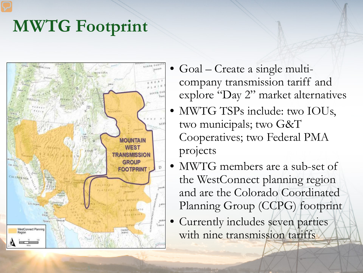## **MWTG Footprint**



- Goal Create a single multicompany transmission tariff and explore "Day 2" market alternatives
- MWTG TSPs include: two IOUs, two municipals; two G&T Cooperatives; two Federal PMA projects
- MWTG members are a sub-set of the WestConnect planning region and are the Colorado Coordinated Planning Group (CCPG) footprint
	- Currently includes seven parties with nine transmission tariffs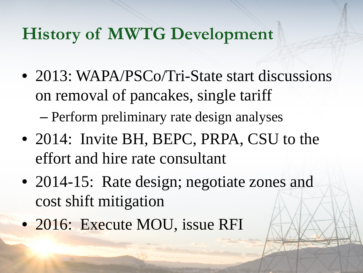#### **History of MWTG Development**

- 2013: WAPA/PSCo/Tri-State start discussions on removal of pancakes, single tariff – Perform preliminary rate design analyses
- 2014: Invite BH, BEPC, PRPA, CSU to the effort and hire rate consultant
- 2014-15: Rate design; negotiate zones and cost shift mitigation
- 2016: Execute MOU, issue RFI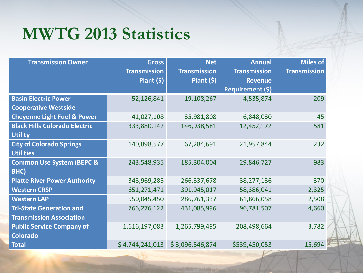#### **MWTG 2013 Statistics**

| <b>Transmission Owner</b>              | <b>Gross</b>        | <b>Net</b>          | <b>Annual</b>           | <b>Miles of</b>     |
|----------------------------------------|---------------------|---------------------|-------------------------|---------------------|
|                                        | <b>Transmission</b> | <b>Transmission</b> | <b>Transmission</b>     | <b>Transmission</b> |
|                                        | Plant $(5)$         | Plant $(5)$         | <b>Revenue</b>          |                     |
|                                        |                     |                     | <b>Requirement (\$)</b> |                     |
| <b>Basin Electric Power</b>            | 52,126,841          | 19,108,267          | 4,535,874               | 209                 |
| <b>Cooperative Westside</b>            |                     |                     |                         |                     |
| <b>Cheyenne Light Fuel &amp; Power</b> | 41,027,108          | 35,981,808          | 6,848,030               | 45                  |
| <b>Black Hills Colorado Electric</b>   | 333,880,142         | 146,938,581         | 12,452,172              | 581                 |
| <b>Utility</b>                         |                     |                     |                         |                     |
| <b>City of Colorado Springs</b>        | 140,898,577         | 67,284,691          | 21,957,844              | 232                 |
| <b>Utilities</b>                       |                     |                     |                         |                     |
| <b>Common Use System (BEPC &amp;</b>   | 243,548,935         | 185,304,004         | 29,846,727              | 983                 |
| BHC)                                   |                     |                     |                         |                     |
| <b>Platte River Power Authority</b>    | 348,969,285         | 266,337,678         | 38,277,136              | 370                 |
| <b>Western CRSP</b>                    | 651,271,471         | 391,945,017         | 58,386,041              | 2,325               |
| <b>Western LAP</b>                     | 550,045,450         | 286,761,337         | 61,866,058              | 2,508               |
| <b>Tri-State Generation and</b>        | 766,276,122         | 431,085,996         | 96,781,507              | 4,660               |
| <b>Transmission Association</b>        |                     |                     |                         |                     |
| <b>Public Service Company of</b>       | 1,616,197,083       | 1,265,799,495       | 208,498,664             | 3,782               |
| <b>Colorado</b>                        |                     |                     |                         |                     |
| <b>Total</b>                           | \$4,744,241,013     | \$3,096,546,874     | \$539,450,053           | 15,694              |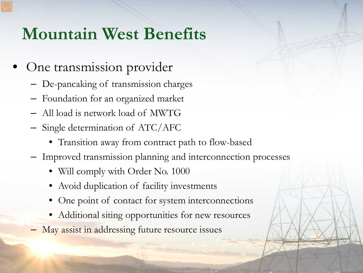#### **Mountain West Benefits**

- One transmission provider
	- De-pancaking of transmission charges
	- Foundation for an organized market
	- All load is network load of MWTG
	- Single determination of ATC/AFC
		- Transition away from contract path to flow-based
	- Improved transmission planning and interconnection processes
		- Will comply with Order No. 1000
		- Avoid duplication of facility investments
		- One point of contact for system interconnections
		- Additional siting opportunities for new resources
	- May assist in addressing future resource issues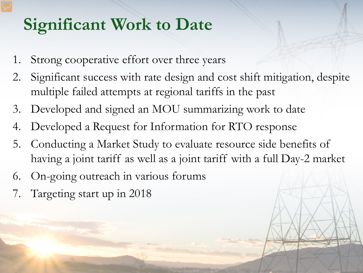## **Significant Work to Date**

- 1. Strong cooperative effort over three years
- 2. Significant success with rate design and cost shift mitigation, despite multiple failed attempts at regional tariffs in the past
- 3. Developed and signed an MOU summarizing work to date
- 4. Developed a Request for Information for RTO response
- 5. Conducting a Market Study to evaluate resource side benefits of having a joint tariff as well as a joint tariff with a full Day-2 market
- 6. On-going outreach in various forums
- 7. Targeting start up in 2018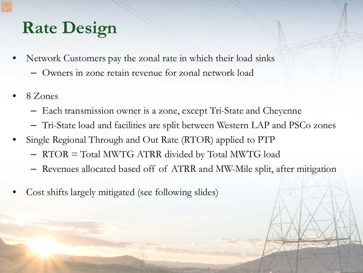## **Rate Design**

- Network Customers pay the zonal rate in which their load sinks
	- Owners in zone retain revenue for zonal network load
- 8 Zones
	- Each transmission owner is a zone, except Tri-State and Cheyenne
	- Tri-State load and facilities are split between Western LAP and PSCo zones
- Single Regional Through and Out Rate (RTOR) applied to PTP
	- RTOR = Total MWTG ATRR divided by Total MWTG load
	- Revenues allocated based off of ATRR and MW-Mile split, after mitigation
- Cost shifts largely mitigated (see following slides)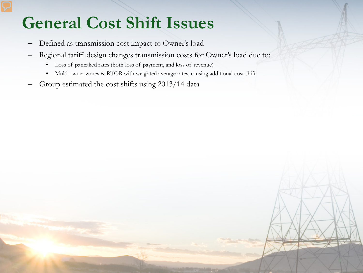## **General Cost Shift Issues**

- Defined as transmission cost impact to Owner's load
- Regional tariff design changes transmission costs for Owner's load due to:
	- Loss of pancaked rates (both loss of payment, and loss of revenue)
	- Multi-owner zones & RTOR with weighted average rates, causing additional cost shift
- Group estimated the cost shifts using 2013/14 data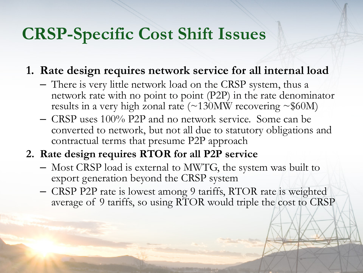#### **CRSP-Specific Cost Shift Issues**

- **1. Rate design requires network service for all internal load**
	- There is very little network load on the CRSP system, thus a network rate with no point to point (P2P) in the rate denominator results in a very high zonal rate  $(\sim 130$ MW recovering  $\sim $60$ M)
	- CRSP uses 100% P2P and no network service. Some can be converted to network, but not all due to statutory obligations and contractual terms that presume P2P approach
- **2. Rate design requires RTOR for all P2P service**
	- Most CRSP load is external to MWTG, the system was built to export generation beyond the CRSP system
	- CRSP P2P rate is lowest among 9 tariffs, RTOR rate is weighted average of 9 tariffs, so using RTOR would triple the cost to CRSP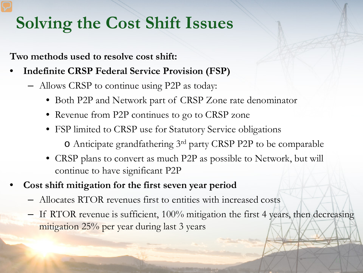## **Solving the Cost Shift Issues**

**Two methods used to resolve cost shift:**

- **Indefinite CRSP Federal Service Provision (FSP)**
	- Allows CRSP to continue using P2P as today:
		- Both P2P and Network part of CRSP Zone rate denominator
		- Revenue from P2P continues to go to CRSP zone
		- FSP limited to CRSP use for Statutory Service obligations o Anticipate grandfathering 3rd party CRSP P2P to be comparable
		- CRSP plans to convert as much P2P as possible to Network, but will continue to have significant P2P
- **Cost shift mitigation for the first seven year period**
	- Allocates RTOR revenues first to entities with increased costs
	- If RTOR revenue is sufficient, 100% mitigation the first 4 years, then decreasing mitigation 25% per year during last 3 years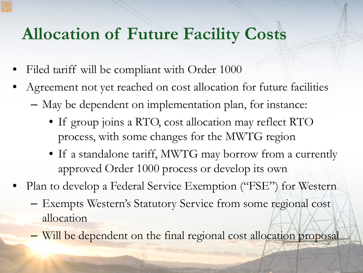#### **Allocation of Future Facility Costs**

- Filed tariff will be compliant with Order 1000
- Agreement not yet reached on cost allocation for future facilities
	- May be dependent on implementation plan, for instance:
		- If group joins a RTO, cost allocation may reflect RTO process, with some changes for the MWTG region
		- If a standalone tariff, MWTG may borrow from a currently approved Order 1000 process or develop its own
- Plan to develop a Federal Service Exemption ("FSE") for Western
	- Exempts Western's Statutory Service from some regional cost allocation
	- Will be dependent on the final regional cost allocation proposal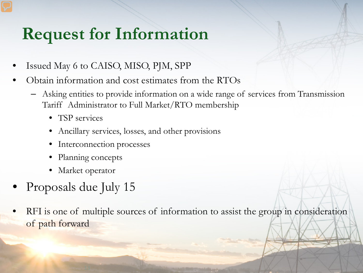## **Request for Information**

- Issued May 6 to CAISO, MISO, PJM, SPP
- Obtain information and cost estimates from the RTOs
	- Asking entities to provide information on a wide range of services from Transmission Tariff Administrator to Full Market/RTO membership
		- TSP services
		- Ancillary services, losses, and other provisions
		- Interconnection processes
		- Planning concepts
		- Market operator
- Proposals due July 15
- RFI is one of multiple sources of information to assist the group in consideration of path forward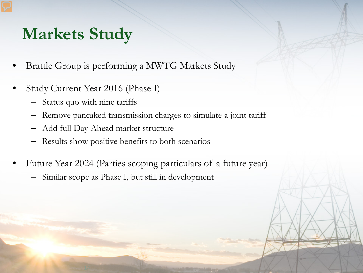## **Markets Study**

- Brattle Group is performing a MWTG Markets Study
- Study Current Year 2016 (Phase I)
	- Status quo with nine tariffs
	- Remove pancaked transmission charges to simulate a joint tariff
	- Add full Day-Ahead market structure
	- Results show positive benefits to both scenarios
- Future Year 2024 (Parties scoping particulars of a future year)
	- Similar scope as Phase I, but still in development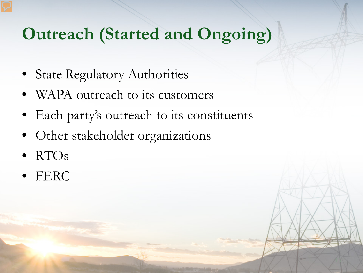## **Outreach (Started and Ongoing)**

- **State Regulatory Authorities**
- WAPA outreach to its customers
- Each party's outreach to its constituents
- Other stakeholder organizations
- RTOs
- FERC